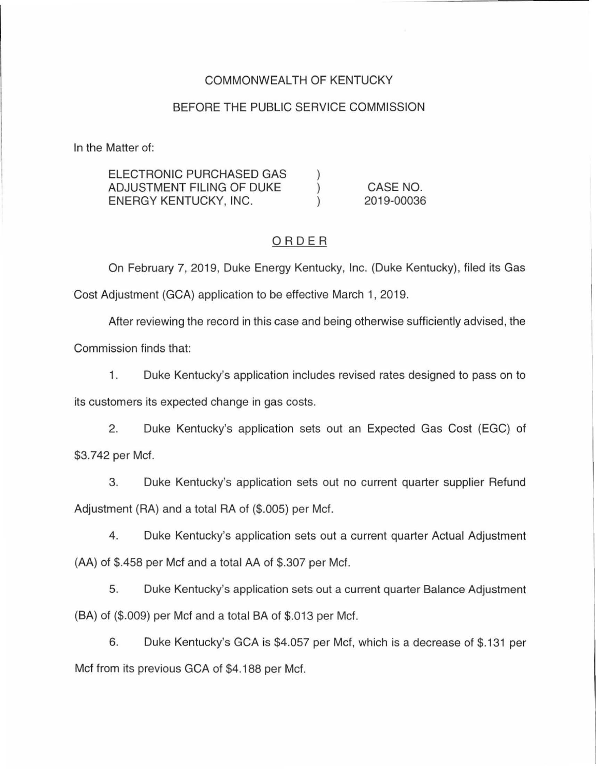## COMMONWEALTH OF KENTUCKY

### BEFORE THE PUBLIC SERVICE COMMISSION

In the Matter of:

| ELECTRONIC PURCHASED GAS  |            |
|---------------------------|------------|
| ADJUSTMENT FILING OF DUKE | CASE NO.   |
| ENERGY KENTUCKY, INC.     | 2019-00036 |

### ORDER

On February 7, 2019, Duke Energy Kentucky, Inc. (Duke Kentucky), filed its Gas Cost Adjustment (GCA) application to be effective March 1, 2019.

After reviewing the record in this case and being otherwise sufficiently advised, the Commission finds that:

1. Duke Kentucky's application includes revised rates designed to pass on to

its customers its expected change in gas costs.

2. Duke Kentucky's application sets out an Expected Gas Cost (EGC) of \$3.742 per Met.

3. Duke Kentucky's application sets out no current quarter supplier Refund Adjustment (RA) and a total RA of (\$.005) per Met.

4. Duke Kentucky's application sets out a current quarter Actual Adjustment (AA) of \$.458 per Met and a total AA of \$.307 per Met.

5. Duke Kentucky's application sets out a current quarter Balance Adjustment (BA) of (\$.009) per Met and a total BA of \$.013 per Met.

6. Duke Kentucky's GCA is \$4.057 per Met, which is a decrease of \$. 131 per Met from its previous GCA of \$4.188 per Met.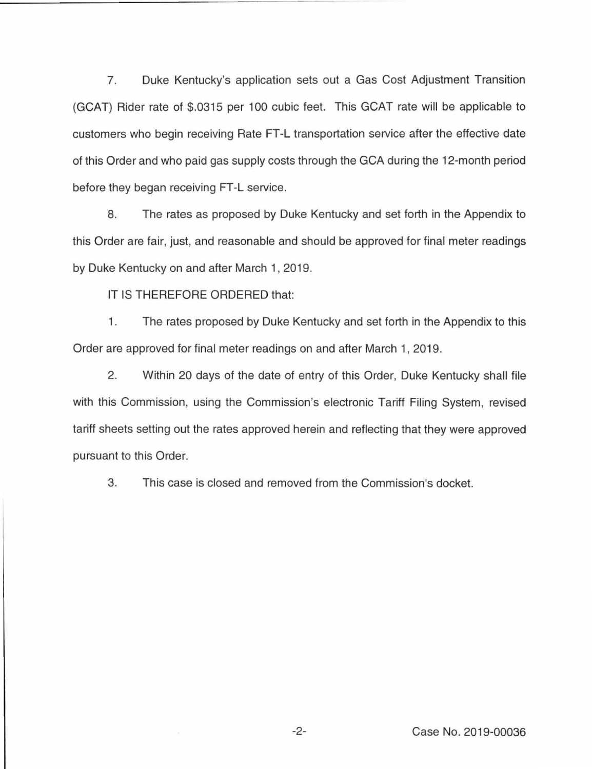7. Duke Kentucky's application sets out a Gas Cost Adjustment Transition (GCAT) Rider rate of \$.0315 per 100 cubic feet. This GCAT rate will be applicable to customers who begin receiving Rate FT-L transportation service after the effective date of this Order and who paid gas supply costs through the GCA during the 12-month period before they began receiving FT-L service.

8. The rates as proposed by Duke Kentucky and set forth in the Appendix to this Order are fair, just, and reasonable and should be approved for final meter readings by Duke Kentucky on and after March 1, 2019.

IT IS THEREFORE ORDERED that:

1. The rates proposed by Duke Kentucky and set forth in the Appendix to this Order are approved for final meter readings on and after March 1, 2019.

2. Within 20 days of the date of entry of this Order, Duke Kentucky shall file with this Commission, using the Commission's electronic Tariff Filing System, revised tariff sheets setting out the rates approved herein and reflecting that they were approved pursuant to this Order.

3. This case is closed and removed from the Commission's docket.

-2- Case No. 2019-00036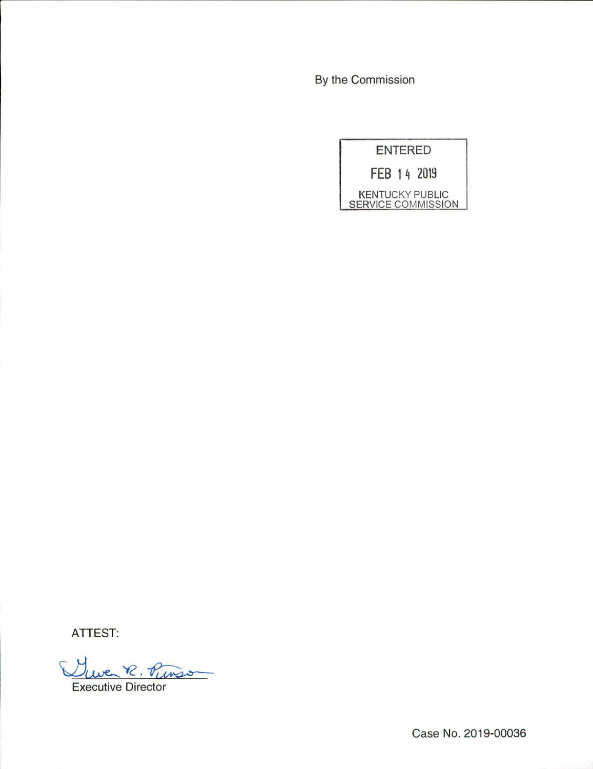By the Commission

| <b>ENTERED</b>                                      |
|-----------------------------------------------------|
| FEB 14 2019                                         |
| <b>KENTUCKY PUBLIC</b><br><b>SERVICE COMMISSION</b> |

ATTEST:

Que R ATTEST:<br>Ulwe R. Punson

Case No. 2019-00036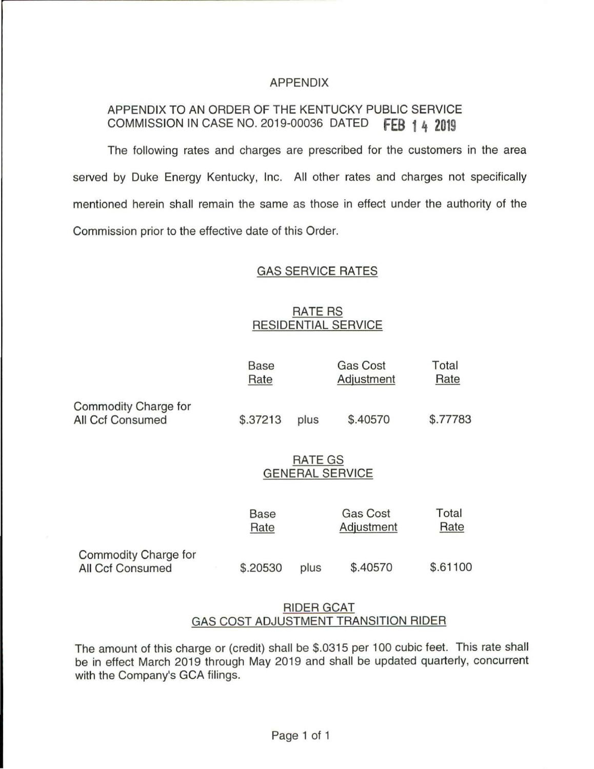### APPENDIX

# APPENDIX TO AN ORDER OF THE KENTUCKY PUBLIC SERVICE COMMISSION IN CASE NO. 2019-00036 DATED **fEB 1 4 2019**

The following rates and charges are prescribed for the customers in the area served by Duke Energy Kentucky, Inc. All other rates and charges not specifically mentioned herein shall remain the same as those in effect under the authority of the Commission prior to the effective date of this Order.

### GAS SERVICE RATES

## RATE RS RESIDENTIAL SERVICE

|                                                 | <b>Base</b><br>Rate               |      | <b>Gas Cost</b><br>Adjustment | Total<br>Rate |  |
|-------------------------------------------------|-----------------------------------|------|-------------------------------|---------------|--|
| Commodity Charge for<br>All Ccf Consumed        | \$.37213                          | plus | \$.40570                      | \$.77783      |  |
|                                                 | RATE GS<br><b>GENERAL SERVICE</b> |      |                               |               |  |
|                                                 | Base<br>Rate                      |      | <b>Gas Cost</b><br>Adjustment | Total<br>Rate |  |
| Commodity Charge for<br><b>All Ccf Consumed</b> | \$.20530                          | plus | \$.40570                      | \$.61100      |  |

## RIDER GCAT GAS COST ADJUSTMENT TRANSITION RIDER

The amount of this charge or (credit) shall be \$.0315 per 100 cubic feet. This rate shall be in effect March 2019 through May 2019 and shall be updated quarterly, concurrent with the Company's GCA filings.